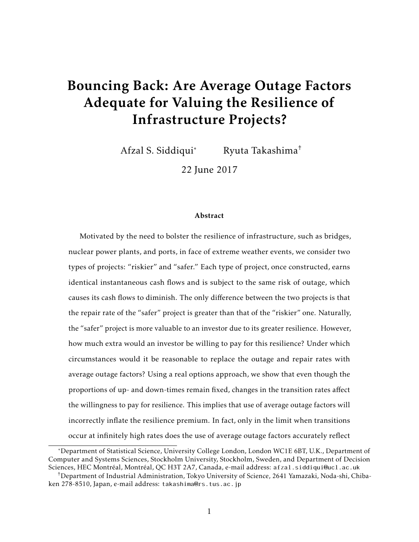# Bouncing Back: Are Average Outage Factors Adequate for Valuing the Resilience of Infrastructure Projects?

Afzal S. Siddiqui\* Ryuta Takashima†

22 June 2017

#### Abstract

Motivated by the need to bolster the resilience of infrastructure, such as bridges, nuclear power plants, and ports, in face of extreme weather events, we consider two types of projects: "riskier" and "safer." Each type of project, once constructed, earns identical instantaneous cash flows and is subject to the same risk of outage, which causes its cash flows to diminish. The only difference between the two projects is that the repair rate of the "safer" project is greater than that of the "riskier" one. Naturally, the "safer" project is more valuable to an investor due to its greater resilience. However, how much extra would an investor be willing to pay for this resilience? Under which circumstances would it be reasonable to replace the outage and repair rates with average outage factors? Using a real options approach, we show that even though the proportions of up- and down-times remain fixed, changes in the transition rates affect the willingness to pay for resilience. This implies that use of average outage factors will incorrectly inflate the resilience premium. In fact, only in the limit when transitions occur at infinitely high rates does the use of average outage factors accurately reflect

<sup>\*</sup>Department of Statistical Science, University College London, London WC1E 6BT, U.K., Department of Computer and Systems Sciences, Stockholm University, Stockholm, Sweden, and Department of Decision Sciences, HEC Montréal, Montréal, QC H3T 2A7, Canada, e-mail address: afzal.siddiqui@ucl.ac.uk

<sup>†</sup>Department of Industrial Administration, Tokyo University of Science, 2641 Yamazaki, Noda-shi, Chibaken 278-8510, Japan, e-mail address: takashima@rs.tus.ac.jp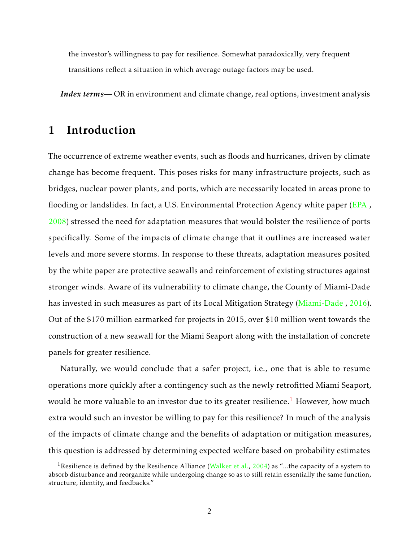the investor's willingness to pay for resilience. Somewhat paradoxically, very frequent transitions reflect a situation in which average outage factors may be used.

*Index terms—* OR in environment and climate change, real options, investment analysis

#### 1 Introduction

The occurrence of extreme weather events, such as floods and hurricanes, driven by climate change has become frequent. This poses risks for many infrastructure projects, such as bridges, nuclear power plants, and ports, which are necessarily located in areas prone to flooding or landslides. In fact, a U.S. Environmental Protection Agency white paper [\(EPA](#page-18-0) , [2008\)](#page-18-0) stressed the need for adaptation measures that would bolster the resilience of ports specifically. Some of the impacts of climate change that it outlines are increased water levels and more severe storms. In response to these threats, adaptation measures posited by the white paper are protective seawalls and reinforcement of existing structures against stronger winds. Aware of its vulnerability to climate change, the County of Miami-Dade has invested in such measures as part of its Local Mitigation Strategy [\(Miami-Dade](#page-17-0) , [2016\)](#page-17-0). Out of the \$170 million earmarked for projects in 2015, over \$10 million went towards the construction of a new seawall for the Miami Seaport along with the installation of concrete panels for greater resilience.

Naturally, we would conclude that a safer project, i.e., one that is able to resume operations more quickly after a contingency such as the newly retrofitted Miami Seaport, would be more valuable to an investor due to its greater resilience.<sup>[1](#page-1-0)</sup> However, how much extra would such an investor be willing to pay for this resilience? In much of the analysis of the impacts of climate change and the benefits of adaptation or mitigation measures, this question is addressed by determining expected welfare based on probability estimates

<span id="page-1-0"></span><sup>&</sup>lt;sup>1</sup> Resilience is defined by the Resilience Alliance [\(Walker et al.,](#page-18-1) [2004\)](#page-18-1) as "...the capacity of a system to absorb disturbance and reorganize while undergoing change so as to still retain essentially the same function, structure, identity, and feedbacks."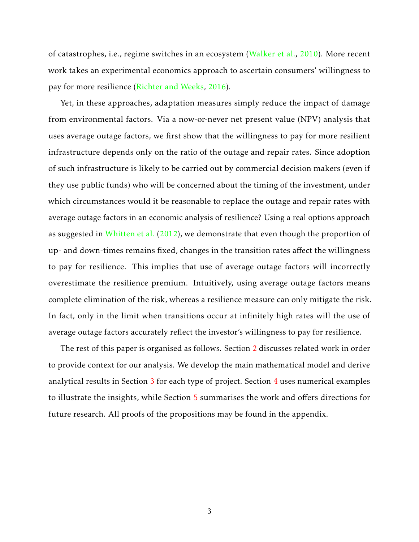of catastrophes, i.e., regime switches in an ecosystem [\(Walker et al.,](#page-18-2) [2010\)](#page-18-2). More recent work takes an experimental economics approach to ascertain consumers' willingness to pay for more resilience [\(Richter and Weeks,](#page-17-1) [2016\)](#page-17-1).

Yet, in these approaches, adaptation measures simply reduce the impact of damage from environmental factors. Via a now-or-never net present value (NPV) analysis that uses average outage factors, we first show that the willingness to pay for more resilient infrastructure depends only on the ratio of the outage and repair rates. Since adoption of such infrastructure is likely to be carried out by commercial decision makers (even if they use public funds) who will be concerned about the timing of the investment, under which circumstances would it be reasonable to replace the outage and repair rates with average outage factors in an economic analysis of resilience? Using a real options approach as suggested in [Whitten et al.](#page-18-3) [\(2012\)](#page-18-3), we demonstrate that even though the proportion of up- and down-times remains fixed, changes in the transition rates affect the willingness to pay for resilience. This implies that use of average outage factors will incorrectly overestimate the resilience premium. Intuitively, using average outage factors means complete elimination of the risk, whereas a resilience measure can only mitigate the risk. In fact, only in the limit when transitions occur at infinitely high rates will the use of average outage factors accurately reflect the investor's willingness to pay for resilience.

The rest of this paper is organised as follows. Section [2](#page-3-0) discusses related work in order to provide context for our analysis. We develop the main mathematical model and derive analytical results in Section [3](#page-4-0) for each type of project. Section [4](#page-11-0) uses numerical examples to illustrate the insights, while Section [5](#page-15-0) summarises the work and offers directions for future research. All proofs of the propositions may be found in the appendix.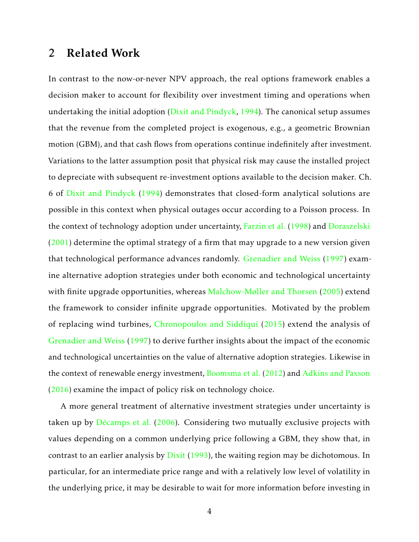#### <span id="page-3-0"></span>2 Related Work

In contrast to the now-or-never NPV approach, the real options framework enables a decision maker to account for flexibility over investment timing and operations when undertaking the initial adoption [\(Dixit and Pindyck,](#page-17-2) [1994\)](#page-17-2). The canonical setup assumes that the revenue from the completed project is exogenous, e.g., a geometric Brownian motion (GBM), and that cash flows from operations continue indefinitely after investment. Variations to the latter assumption posit that physical risk may cause the installed project to depreciate with subsequent re-investment options available to the decision maker. Ch. 6 of [Dixit and Pindyck](#page-17-2) [\(1994\)](#page-17-2) demonstrates that closed-form analytical solutions are possible in this context when physical outages occur according to a Poisson process. In the context of technology adoption under uncertainty, [Farzin et al.](#page-17-3) [\(1998\)](#page-17-3) and [Doraszelski](#page-17-4)  $(2001)$  determine the optimal strategy of a firm that may upgrade to a new version given that technological performance advances randomly. [Grenadier and Weiss](#page-17-5) [\(1997\)](#page-17-5) examine alternative adoption strategies under both economic and technological uncertainty with finite upgrade opportunities, whereas [Malchow-Møller and Thorsen](#page-17-6) [\(2005\)](#page-17-6) extend the framework to consider infinite upgrade opportunities. Motivated by the problem of replacing wind turbines, [Chronopoulos and Siddiqui](#page-16-0) [\(2015\)](#page-16-0) extend the analysis of [Grenadier and Weiss](#page-17-5) [\(1997\)](#page-17-5) to derive further insights about the impact of the economic and technological uncertainties on the value of alternative adoption strategies. Likewise in the context of renewable energy investment, [Boomsma et al.](#page-16-1) [\(2012\)](#page-16-1) and [Adkins and Paxson](#page-16-2) [\(2016\)](#page-16-2) examine the impact of policy risk on technology choice.

A more general treatment of alternative investment strategies under uncertainty is taken up by Décamps et al.  $(2006)$ . Considering two mutually exclusive projects with values depending on a common underlying price following a GBM, they show that, in contrast to an earlier analysis by [Dixit](#page-16-4) [\(1993\)](#page-16-4), the waiting region may be dichotomous. In particular, for an intermediate price range and with a relatively low level of volatility in the underlying price, it may be desirable to wait for more information before investing in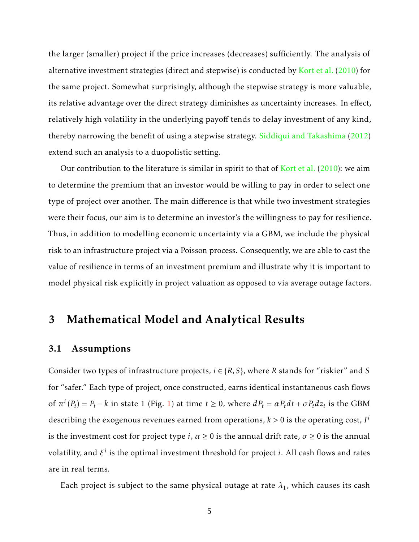the larger (smaller) project if the price increases (decreases) sufficiently. The analysis of alternative investment strategies (direct and stepwise) is conducted by [Kort et al.](#page-17-7) [\(2010\)](#page-17-7) for the same project. Somewhat surprisingly, although the stepwise strategy is more valuable, its relative advantage over the direct strategy diminishes as uncertainty increases. In effect, relatively high volatility in the underlying payoff tends to delay investment of any kind, thereby narrowing the benefit of using a stepwise strategy. [Siddiqui and Takashima](#page-18-4) [\(2012\)](#page-18-4) extend such an analysis to a duopolistic setting.

Our contribution to the literature is similar in spirit to that of [Kort et al.](#page-17-7) [\(2010\)](#page-17-7): we aim to determine the premium that an investor would be willing to pay in order to select one type of project over another. The main difference is that while two investment strategies were their focus, our aim is to determine an investor's the willingness to pay for resilience. Thus, in addition to modelling economic uncertainty via a GBM, we include the physical risk to an infrastructure project via a Poisson process. Consequently, we are able to cast the value of resilience in terms of an investment premium and illustrate why it is important to model physical risk explicitly in project valuation as opposed to via average outage factors.

#### <span id="page-4-0"></span>3 Mathematical Model and Analytical Results

#### 3.1 Assumptions

Consider two types of infrastructure projects,  $i \in \{R, S\}$ , where *R* stands for "riskier" and *S* for "safer." Each type of project, once constructed, earns identical instantaneous cash flows of  $\pi^{i}(P_{t}) = P_{t} - k$  in state 1 (Fig. [1\)](#page-5-0) at time  $t \ge 0$ , where  $dP_{t} = \alpha P_{t} dt + \sigma P_{t} dz_{t}$  is the GBM describing the exogenous revenues earned from operations,  $k > 0$  is the operating cost,  $I^i$ is the investment cost for project type *i*,  $\alpha \ge 0$  is the annual drift rate,  $\sigma \ge 0$  is the annual volatility, and *ξ i* is the optimal investment threshold for project *i*. All cash flows and rates are in real terms.

Each project is subject to the same physical outage at rate  $\lambda_1$ , which causes its cash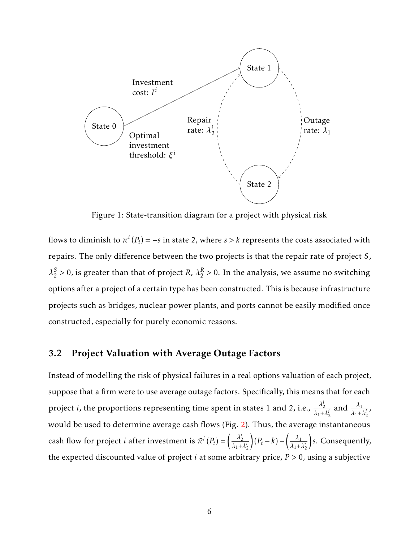<span id="page-5-0"></span>

Figure 1: State-transition diagram for a project with physical risk

flows to diminish to  $\pi^i(P_t) = -s$  in state 2, where  $s > k$  represents the costs associated with repairs. The only difference between the two projects is that the repair rate of project *S*, *λ S*  $\frac{S}{2}$  > 0, is greater than that of project *R*,  $\lambda_2^R$  $\frac{R}{2}$  > 0. In the analysis, we assume no switching options after a project of a certain type has been constructed. This is because infrastructure projects such as bridges, nuclear power plants, and ports cannot be easily modified once constructed, especially for purely economic reasons.

#### <span id="page-5-1"></span>3.2 Project Valuation with Average Outage Factors

Instead of modelling the risk of physical failures in a real options valuation of each project, suppose that a firm were to use average outage factors. Specifically, this means that for each project *i*, the proportions representing time spent in states 1 and 2, i.e.,  $\frac{\lambda_2^i}{\lambda_1^i}$  $\frac{\lambda_2^i}{\lambda_1 + \lambda_2^i}$  and  $\frac{\lambda_1}{\lambda_1 + \lambda_2^i}$ , would be used to determine average cash flows (Fig. [2\)](#page-7-0). Thus, the average instantaneous cash flow for project *i* after investment is  $\bar{\pi}^i(P_t) = \left(\frac{\lambda_2^i}{\lambda_1 + \lambda_2^i}\right)$  $λ_1 + λ_2^i$  $(P_t - k) - \left(\frac{\lambda_1}{\lambda_1 + k}\right)$  $λ_1 + λ_2^i$  *s*. Consequently, the expected discounted value of project *i* at some arbitrary price, *P >* 0, using a subjective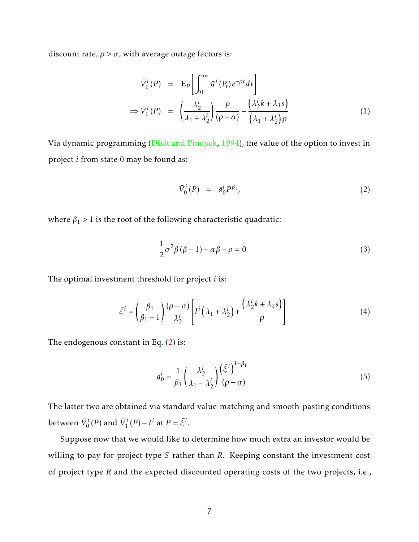discount rate,  $\rho > \alpha$ , with average outage factors is:

$$
\bar{V}_{1}^{i}(P) = \mathbb{E}_{P} \left[ \int_{0}^{\infty} \bar{\pi}^{i} (P_{t}) e^{-\rho t} dt \right]
$$
\n
$$
\Rightarrow \bar{V}_{1}^{i}(P) = \left( \frac{\lambda_{2}^{i}}{\lambda_{1} + \lambda_{2}^{i}} \right) \frac{P}{(\rho - \alpha)} - \frac{\left( \lambda_{2}^{i} k + \lambda_{1} s \right)}{\left( \lambda_{1} + \lambda_{2}^{i} \right) \rho} \tag{1}
$$

Via dynamic programming [\(Dixit and Pindyck,](#page-17-2) [1994\)](#page-17-2), the value of the option to invest in project *i* from state 0 may be found as:

<span id="page-6-0"></span>
$$
\bar{V}_0^i(P) = \bar{a}_0^i P^{\beta_1}, \tag{2}
$$

where  $\beta_1 > 1$  is the root of the following characteristic quadratic:

<span id="page-6-1"></span>
$$
\frac{1}{2}\sigma^2\beta(\beta-1) + \alpha\beta - \rho = 0
$$
\n(3)

The optimal investment threshold for project *i* is:

$$
\bar{\xi}^{i} = \left(\frac{\beta_{1}}{\beta_{1}-1}\right) \frac{(\rho - \alpha)}{\lambda_{2}^{i}} \left[ I^{i} \left(\lambda_{1} + \lambda_{2}^{i}\right) + \frac{\left(\lambda_{2}^{i} k + \lambda_{1} s\right)}{\rho} \right]
$$
(4)

The endogenous constant in Eq. [\(2\)](#page-6-0) is:

$$
\bar{a}_0^i = \frac{1}{\beta_1} \left( \frac{\lambda_2^i}{\lambda_1 + \lambda_2^i} \right) \frac{\left( \bar{\xi}^i \right)^{1 - \beta_1}}{\left( \rho - \alpha \right)} \tag{5}
$$

The latter two are obtained via standard value-matching and smooth-pasting conditions between  $\bar{V}_0^i(P)$  and  $\bar{V}_1^i(P) - I^i$  at  $P = \bar{\xi}^i$ .

Suppose now that we would like to determine how much extra an investor would be willing to pay for project type *S* rather than *R*. Keeping constant the investment cost of project type *R* and the expected discounted operating costs of the two projects, i.e.,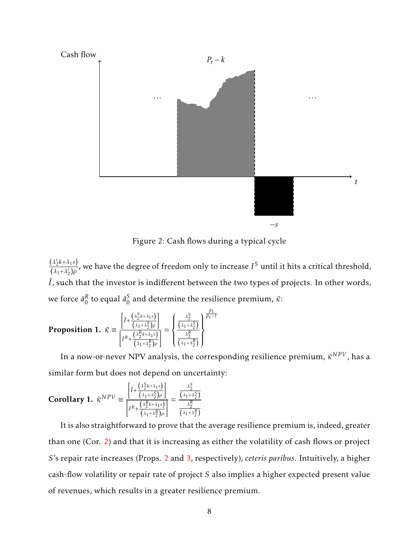<span id="page-7-0"></span>

Figure 2: Cash flows during a typical cycle

 $(\lambda_2^i k + \lambda_1 s)$  $\frac{(\lambda_2 k + \lambda_1 s)}{(\lambda_1 + \lambda_2^i)\rho}$ , we have the degree of freedom only to increase  $I^S$  until it hits a critical threshold,  $\overline{I}$ , such that the investor is indifferent between the two types of projects. In other words, we force  $\bar{a}_0^R$  $_0^R$  to equal  $\bar{a}_0^S$  $\frac{5}{0}$  and determine the resilience premium, *κ*̃:

<span id="page-7-1"></span>**Proposition 1.** 
$$
\bar{\kappa} \equiv \frac{\left[\bar{I} + \frac{\left(\lambda_2^S k + \lambda_1 s\right)}{\left(\lambda_1 + \lambda_2^S\right)\rho}\right]}{\left[r^R + \frac{\left(\lambda_2^S k + \lambda_1 s\right)}{\left(\lambda_1 + \lambda_2^S\right)\rho}\right]} = \begin{cases} \frac{\lambda_2^S}{\left(\lambda_1 + \lambda_2^S\right)} & \frac{\beta_1}{\beta_1 - 1} \\ \frac{\lambda_2^R}{\left(\lambda_1 + \lambda_2^R\right)} & \end{cases}
$$

In a now-or-never NPV analysis*,* the corresponding resilience premium,  $\bar{\kappa}^{NPV}$ , has a similar form but does not depend on uncertainty:

<span id="page-7-2"></span>Corollary 1. 
$$
\bar{\kappa}^{NPV} \equiv \frac{\left[\bar{I} + \frac{\left(\lambda_{2}^{S}k + \lambda_{1}s\right)}{\left(\lambda_{1} + \lambda_{2}^{S}\right)\rho}\right]}{\left[r^{R} + \frac{\left(\lambda_{2}^{R}k + \lambda_{1}s\right)}{\left(\lambda_{1} + \lambda_{2}^{R}\right)\rho}\right]} = \frac{\frac{\lambda_{2}^{S}}{\left(\lambda_{1} + \lambda_{2}^{S}\right)}}{\frac{\lambda_{2}^{R}}{\left(\lambda_{1} + \lambda_{2}^{R}\right)}}
$$

It is also straightforward to prove that the average resilience premium is, indeed, greater than one (Cor. [2\)](#page-8-0) and that it is increasing as either the volatility of cash flows or project *S*'s repair rate increases (Props. [2](#page-8-1) and [3,](#page-8-2) respectively), *ceteris paribus*. Intuitively, a higher cash-flow volatility or repair rate of project *S* also implies a higher expected present value of revenues, which results in a greater resilience premium.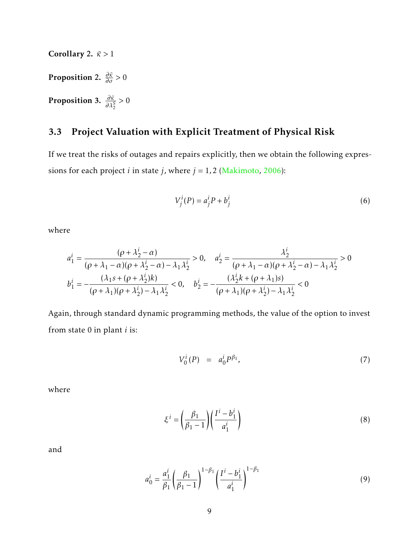<span id="page-8-2"></span><span id="page-8-1"></span>Proposition 2. *∂κ*¯ *∂σ >* 0 **Proposition 3.**  $\frac{\partial \bar{\kappa}}{\partial \lambda_2^S} > 0$ 

<span id="page-8-0"></span>Corollary 2. *κ >*¯ 1

#### <span id="page-8-6"></span>3.3 Project Valuation with Explicit Treatment of Physical Risk

If we treat the risks of outages and repairs explicitly, then we obtain the following expressions for each project *i* in state *j*, where  $j = 1, 2$  [\(Makimoto,](#page-17-8) [2006\)](#page-17-8):

<span id="page-8-4"></span>
$$
V_j^i(P) = a_j^i P + b_j^i \tag{6}
$$

where

$$
a_1^i = \frac{(\rho + \lambda_2^i - \alpha)}{(\rho + \lambda_1 - \alpha)(\rho + \lambda_2^i - \alpha) - \lambda_1 \lambda_2^i} > 0, \quad a_2^i = \frac{\lambda_2^i}{(\rho + \lambda_1 - \alpha)(\rho + \lambda_2^i - \alpha) - \lambda_1 \lambda_2^i} > 0
$$
  

$$
b_1^i = -\frac{(\lambda_1 s + (\rho + \lambda_2^i)k)}{(\rho + \lambda_1)(\rho + \lambda_2^i) - \lambda_1 \lambda_2^i} < 0, \quad b_2^i = -\frac{(\lambda_2^i k + (\rho + \lambda_1)s)}{(\rho + \lambda_1)(\rho + \lambda_2^i) - \lambda_1 \lambda_2^i} < 0
$$

Again, through standard dynamic programming methods, the value of the option to invest from state 0 in plant *i* is:

<span id="page-8-3"></span>
$$
V_0^i(P) = a_0^i P^{\beta_1}, \t\t(7)
$$

where

$$
\xi^{i} = \left(\frac{\beta_{1}}{\beta_{1} - 1}\right) \left(\frac{I^{i} - b_{1}^{i}}{a_{1}^{i}}\right)
$$
\n(8)

and

<span id="page-8-5"></span>
$$
a_0^i = \frac{a_1^i}{\beta_1} \left(\frac{\beta_1}{\beta_1 - 1}\right)^{1 - \beta_1} \left(\frac{I^i - b_1^i}{a_1^i}\right)^{1 - \beta_1} \tag{9}
$$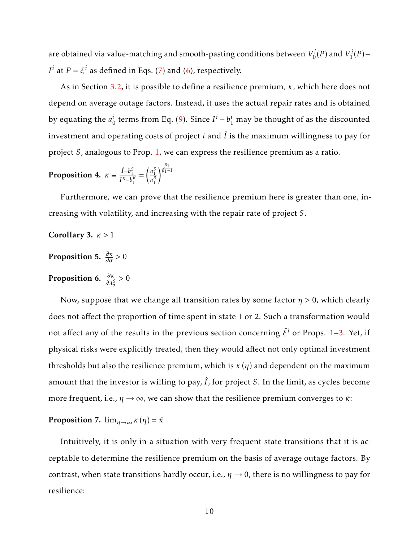are obtained via value-matching and smooth-pasting conditions between *V i*  $V_0^i(P)$  and  $V_1^i$  $i_I^i(P)$ – *I*<sup>*i*</sup> at *P* =  $\xi$ <sup>*i*</sup> as defined in Eqs. [\(7\)](#page-8-3) and [\(6\)](#page-8-4), respectively.

As in Section [3.2,](#page-5-1) it is possible to define a resilience premium, *κ*, which here does not depend on average outage factors. Instead, it uses the actual repair rates and is obtained by equating the *a i*  $\frac{i}{0}$  terms from Eq. [\(9\)](#page-8-5). Since  $I^i - b_1^i$  may be thought of as the discounted investment and operating costs of project  $i$  and  $\hat{I}$  is the maximum willingness to pay for project *S*, analogous to Prop. [1,](#page-7-1) we can express the resilience premium as a ratio.

<span id="page-9-0"></span>**Proposition 4.** 
$$
\kappa \equiv \frac{\hat{I} - b_1^S}{I^R - b_1^R} = \left(\frac{a_1^S}{a_1^R}\right)^{\frac{\beta_1}{\beta_1 - 1}}
$$

Furthermore, we can prove that the resilience premium here is greater than one, increasing with volatility, and increasing with the repair rate of project *S*.

<span id="page-9-2"></span>Corollary 3. *κ >* 1

<span id="page-9-3"></span>Proposition 5. *∂κ ∂σ >* 0

<span id="page-9-4"></span>**Proposition 6.**  $\frac{\partial \kappa}{\partial \lambda_2^S} > 0$ 

Now, suppose that we change all transition rates by some factor *η >* 0, which clearly does not affect the proportion of time spent in state 1 or 2. Such a transformation would not affect any of the results in the previous section concerning  $\bar{\xi}^i$  or Props. [1](#page-7-1)[–3.](#page-8-2) Yet, if physical risks were explicitly treated, then they would affect not only optimal investment thresholds but also the resilience premium, which is  $\kappa(\eta)$  and dependent on the maximum amount that the investor is willing to pay,  $\hat{I}$ , for project *S*. In the limit, as cycles become more frequent, i.e.,  $\eta \rightarrow \infty$ , we can show that the resilience premium converges to  $\bar{\kappa}$ :

<span id="page-9-1"></span>**Proposition 7.**  $\lim_{\eta \to \infty} \kappa(\eta) = \bar{\kappa}$ 

Intuitively, it is only in a situation with very frequent state transitions that it is acceptable to determine the resilience premium on the basis of average outage factors. By contrast, when state transitions hardly occur, i.e.,  $\eta \rightarrow 0$ , there is no willingness to pay for resilience: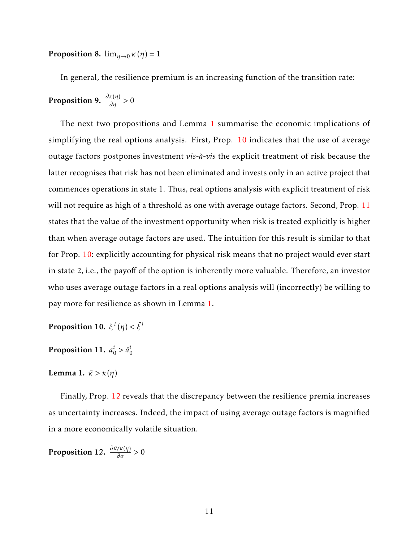<span id="page-10-4"></span>**Proposition 8.**  $\lim_{\eta \to 0} \kappa(\eta) = 1$ 

In general, the resilience premium is an increasing function of the transition rate:

<span id="page-10-5"></span>Proposition 9.  $\frac{\partial \kappa(\eta)}{\partial \eta} > 0$ 

The next two propositions and Lemma [1](#page-10-0) summarise the economic implications of simplifying the real options analysis. First, Prop. [10](#page-10-1) indicates that the use of average outage factors postpones investment *vis-a-vis `* the explicit treatment of risk because the latter recognises that risk has not been eliminated and invests only in an active project that commences operations in state 1. Thus, real options analysis with explicit treatment of risk will not require as high of a threshold as one with average outage factors. Second, Prop. [11](#page-10-2) states that the value of the investment opportunity when risk is treated explicitly is higher than when average outage factors are used. The intuition for this result is similar to that for Prop. [10:](#page-10-1) explicitly accounting for physical risk means that no project would ever start in state 2, i.e., the payoff of the option is inherently more valuable. Therefore, an investor who uses average outage factors in a real options analysis will (incorrectly) be willing to pay more for resilience as shown in Lemma [1.](#page-10-0)

<span id="page-10-1"></span>**Proposition 10.**  $\xi^i(\eta) < \bar{\xi}^i$ 

<span id="page-10-2"></span>Proposition 11. *a i*  $i_0 > \bar{a}_0^i$ 0

<span id="page-10-0"></span>Lemma 1.  $\bar{\kappa} > \kappa(\eta)$ 

Finally, Prop. [12](#page-10-3) reveals that the discrepancy between the resilience premia increases as uncertainty increases. Indeed, the impact of using average outage factors is magnified in a more economically volatile situation.

<span id="page-10-3"></span>**Proposition 12.**  $\frac{\partial \bar{\kappa}/\kappa(\eta)}{\partial \sigma} > 0$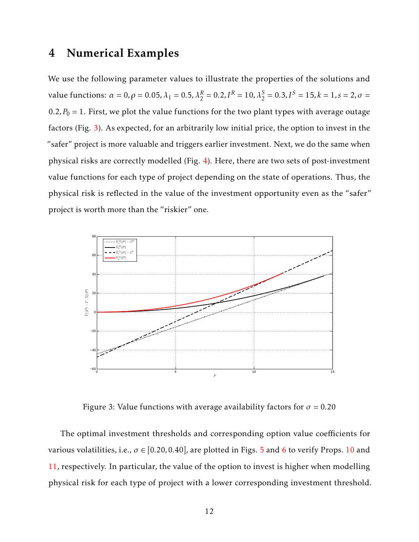#### <span id="page-11-0"></span>4 Numerical Examples

We use the following parameter values to illustrate the properties of the solutions and value functions:  $\alpha = 0$ ,  $\rho = 0.05$ ,  $\lambda_1 = 0.5$ ,  $\lambda_2^R = 0.2$ ,  $I^R = 10$ ,  $\lambda_2^S = 0.3$ ,  $I^S = 15$ ,  $k = 1$ ,  $s = 2$ ,  $\sigma =$  $0.2, P_0 = 1$ . First, we plot the value functions for the two plant types with average outage factors (Fig. [3\)](#page-11-1). As expected, for an arbitrarily low initial price, the option to invest in the "safer" project is more valuable and triggers earlier investment. Next, we do the same when physical risks are correctly modelled (Fig. [4\)](#page-12-0). Here, there are two sets of post-investment value functions for each type of project depending on the state of operations. Thus, the physical risk is reflected in the value of the investment opportunity even as the "safer" project is worth more than the "riskier" one.

<span id="page-11-1"></span>

Figure 3: Value functions with average availability factors for  $\sigma = 0.20$ 

The optimal investment thresholds and corresponding option value coefficients for various volatilities, i.e.,  $\sigma \in [0.20, 0.40]$ , are plotted in Figs. [5](#page-13-0) and [6](#page-13-1) to verify Props. [10](#page-10-1) and [11,](#page-10-2) respectively. In particular, the value of the option to invest is higher when modelling physical risk for each type of project with a lower corresponding investment threshold.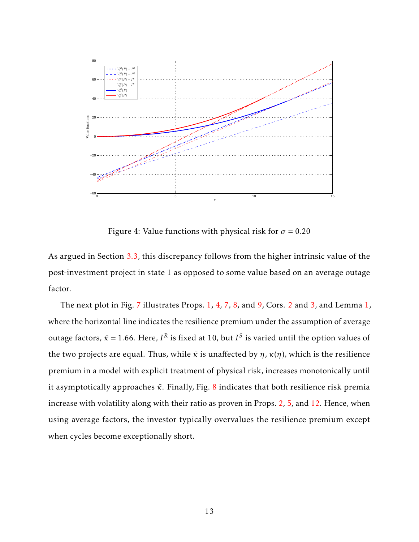<span id="page-12-0"></span>

Figure 4: Value functions with physical risk for  $\sigma = 0.20$ 

As argued in Section [3.3,](#page-8-6) this discrepancy follows from the higher intrinsic value of the post-investment project in state 1 as opposed to some value based on an average outage factor.

The next plot in Fig. [7](#page-14-0) illustrates Props. [1,](#page-10-0) [4,](#page-9-0) [7,](#page-9-1) [8,](#page-10-4) and [9,](#page-10-5) Cors. [2](#page-8-0) and [3,](#page-9-2) and Lemma 1, where the horizontal line indicates the resilience premium under the assumption of average outage factors,  $\bar{\kappa}$  = 1.66. Here, *I*<sup>R</sup> is fixed at 10, but *I*<sup>S</sup> is varied until the option values of the two projects are equal. Thus, while  $\bar{k}$  is unaffected by  $\eta$ ,  $\kappa(\eta)$ , which is the resilience premium in a model with explicit treatment of physical risk, increases monotonically until it asymptotically approaches *κ*<sup>2</sup>. Finally, Fig. [8](#page-14-1) indicates that both resilience risk premia increase with volatility along with their ratio as proven in Props. [2,](#page-8-1) [5,](#page-9-3) and [12.](#page-10-3) Hence, when using average factors, the investor typically overvalues the resilience premium except when cycles become exceptionally short.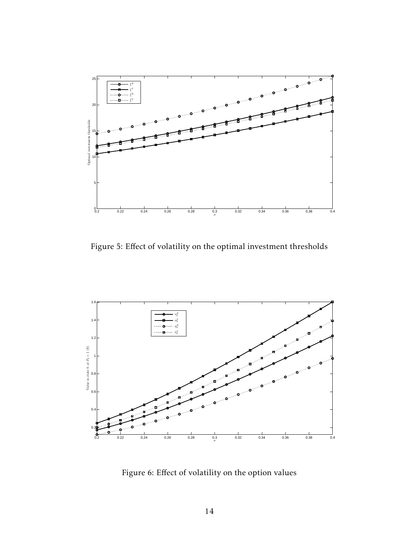<span id="page-13-0"></span>

Figure 5: Effect of volatility on the optimal investment thresholds

<span id="page-13-1"></span>

Figure 6: Effect of volatility on the option values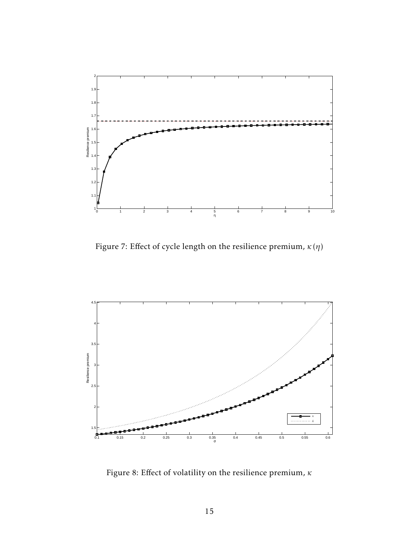<span id="page-14-0"></span>

Figure 7: Effect of cycle length on the resilience premium,  $\kappa\left( \eta\right)$ 

<span id="page-14-1"></span>

Figure 8: Effect of volatility on the resilience premium, *κ*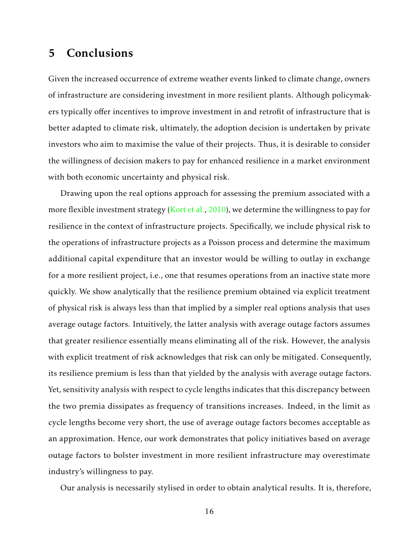## <span id="page-15-0"></span>5 Conclusions

Given the increased occurrence of extreme weather events linked to climate change, owners of infrastructure are considering investment in more resilient plants. Although policymakers typically offer incentives to improve investment in and retrofit of infrastructure that is better adapted to climate risk, ultimately, the adoption decision is undertaken by private investors who aim to maximise the value of their projects. Thus, it is desirable to consider the willingness of decision makers to pay for enhanced resilience in a market environment with both economic uncertainty and physical risk.

Drawing upon the real options approach for assessing the premium associated with a more flexible investment strategy [\(Kort et al.,](#page-17-7)  $2010$ ), we determine the willingness to pay for resilience in the context of infrastructure projects. Specifically, we include physical risk to the operations of infrastructure projects as a Poisson process and determine the maximum additional capital expenditure that an investor would be willing to outlay in exchange for a more resilient project, i.e., one that resumes operations from an inactive state more quickly. We show analytically that the resilience premium obtained via explicit treatment of physical risk is always less than that implied by a simpler real options analysis that uses average outage factors. Intuitively, the latter analysis with average outage factors assumes that greater resilience essentially means eliminating all of the risk. However, the analysis with explicit treatment of risk acknowledges that risk can only be mitigated. Consequently, its resilience premium is less than that yielded by the analysis with average outage factors. Yet, sensitivity analysis with respect to cycle lengths indicates that this discrepancy between the two premia dissipates as frequency of transitions increases. Indeed, in the limit as cycle lengths become very short, the use of average outage factors becomes acceptable as an approximation. Hence, our work demonstrates that policy initiatives based on average outage factors to bolster investment in more resilient infrastructure may overestimate industry's willingness to pay.

Our analysis is necessarily stylised in order to obtain analytical results. It is, therefore,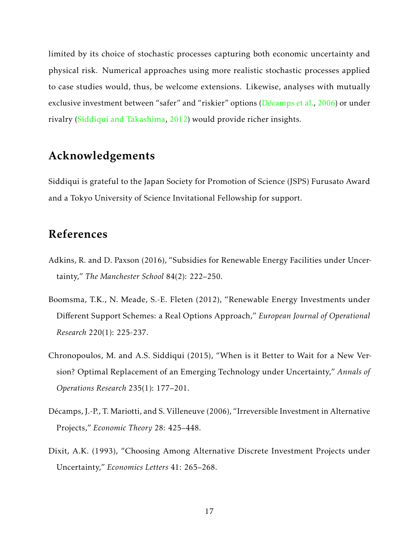limited by its choice of stochastic processes capturing both economic uncertainty and physical risk. Numerical approaches using more realistic stochastic processes applied to case studies would, thus, be welcome extensions. Likewise, analyses with mutually exclusive investment between "safer" and "riskier" options ( $Décamps$  et al., [2006\)](#page-16-3) or under rivalry [\(Siddiqui and Takashima,](#page-18-4) [2012\)](#page-18-4) would provide richer insights.

## Acknowledgements

Siddiqui is grateful to the Japan Society for Promotion of Science (JSPS) Furusato Award and a Tokyo University of Science Invitational Fellowship for support.

#### References

- <span id="page-16-2"></span>Adkins, R. and D. Paxson (2016), "Subsidies for Renewable Energy Facilities under Uncertainty," *The Manchester School* 84(2): 222–250.
- <span id="page-16-1"></span>Boomsma, T.K., N. Meade, S.-E. Fleten (2012), "Renewable Energy Investments under Different Support Schemes: a Real Options Approach," *European Journal of Operational Research* 220(1): 225-237.
- <span id="page-16-0"></span>Chronopoulos, M. and A.S. Siddiqui (2015), "When is it Better to Wait for a New Version? Optimal Replacement of an Emerging Technology under Uncertainty," *Annals of Operations Research* 235(1): 177–201.
- <span id="page-16-3"></span>Décamps, J.-P., T. Mariotti, and S. Villeneuve (2006), "Irreversible Investment in Alternative Projects," *Economic Theory* 28: 425–448.
- <span id="page-16-4"></span>Dixit, A.K. (1993), "Choosing Among Alternative Discrete Investment Projects under Uncertainty," *Economics Letters* 41: 265–268.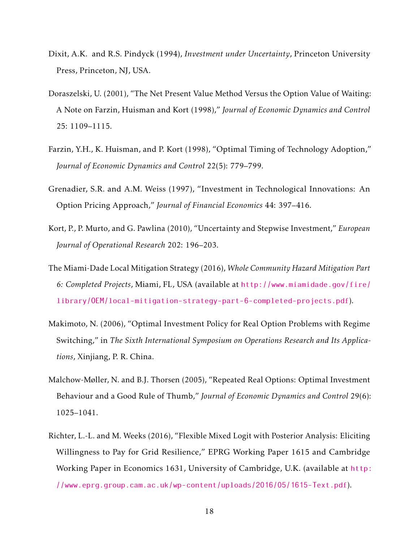- <span id="page-17-2"></span>Dixit, A.K. and R.S. Pindyck (1994), *Investment under Uncertainty*, Princeton University Press, Princeton, NJ, USA.
- <span id="page-17-4"></span>Doraszelski, U. (2001), "The Net Present Value Method Versus the Option Value of Waiting: A Note on Farzin, Huisman and Kort (1998)," *Journal of Economic Dynamics and Control* 25: 1109–1115.
- <span id="page-17-3"></span>Farzin, Y.H., K. Huisman, and P. Kort (1998), "Optimal Timing of Technology Adoption," *Journal of Economic Dynamics and Control* 22(5): 779–799.
- <span id="page-17-5"></span>Grenadier, S.R. and A.M. Weiss (1997), "Investment in Technological Innovations: An Option Pricing Approach," *Journal of Financial Economics* 44: 397–416.
- <span id="page-17-7"></span>Kort, P., P. Murto, and G. Pawlina (2010), "Uncertainty and Stepwise Investment," *European Journal of Operational Research* 202: 196–203.
- <span id="page-17-0"></span>The Miami-Dade Local Mitigation Strategy (2016), *Whole Community Hazard Mitigation Part 6: Completed Projects*, Miami, FL, USA (available at [http://www.miamidade.gov/fire/](http://www.miamidade.gov/fire/library/OEM/local-mitigation-strategy-part-6-completed-projects.pdf) [library/OEM/local-mitigation-strategy-part-6-completed-projects.pdf](http://www.miamidade.gov/fire/library/OEM/local-mitigation-strategy-part-6-completed-projects.pdf)).
- <span id="page-17-8"></span>Makimoto, N. (2006), "Optimal Investment Policy for Real Option Problems with Regime Switching," in *The Sixth International Symposium on Operations Research and Its Applications*, Xinjiang, P. R. China.
- <span id="page-17-6"></span>Malchow-Møller, N. and B.J. Thorsen (2005), "Repeated Real Options: Optimal Investment Behaviour and a Good Rule of Thumb," *Journal of Economic Dynamics and Control* 29(6): 1025–1041.
- <span id="page-17-1"></span>Richter, L.-L. and M. Weeks (2016), "Flexible Mixed Logit with Posterior Analysis: Eliciting Willingness to Pay for Grid Resilience," EPRG Working Paper 1615 and Cambridge Working Paper in Economics 1631, University of Cambridge, U.K. (available at [http:](http://www.eprg.group.cam.ac.uk/wp-content/uploads/2016/05/1615-Text.pdf) [//www.eprg.group.cam.ac.uk/wp-content/uploads/2016/05/1615-Text.pdf](http://www.eprg.group.cam.ac.uk/wp-content/uploads/2016/05/1615-Text.pdf)).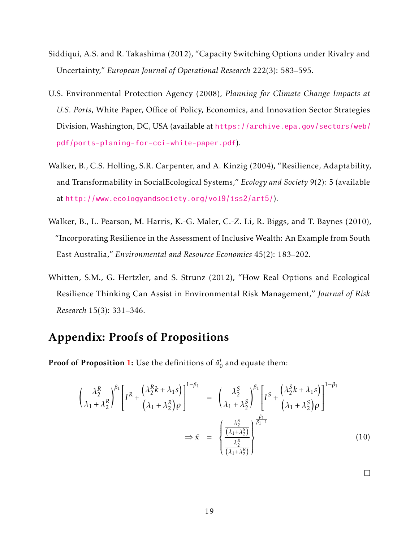- <span id="page-18-4"></span>Siddiqui, A.S. and R. Takashima (2012), "Capacity Switching Options under Rivalry and Uncertainty," *European Journal of Operational Research* 222(3): 583–595.
- <span id="page-18-0"></span>U.S. Environmental Protection Agency (2008), *Planning for Climate Change Impacts at U.S. Ports*, White Paper, Office of Policy, Economics, and Innovation Sector Strategies Division, Washington, DC, USA (available at [https://archive.epa.gov/sectors/web/](https://archive.epa.gov/sectors/web/pdf/ports-planing-for-cci-white-paper.pdf) [pdf/ports-planing-for-cci-white-paper.pdf](https://archive.epa.gov/sectors/web/pdf/ports-planing-for-cci-white-paper.pdf)).
- <span id="page-18-1"></span>Walker, B., C.S. Holling, S.R. Carpenter, and A. Kinzig (2004), "Resilience, Adaptability, and Transformability in SocialEcological Systems," *Ecology and Society* 9(2): 5 (available at <http://www.ecologyandsociety.org/vol9/iss2/art5/>).
- <span id="page-18-2"></span>Walker, B., L. Pearson, M. Harris, K.-G. Maler, C.-Z. Li, R. Biggs, and T. Baynes (2010), "Incorporating Resilience in the Assessment of Inclusive Wealth: An Example from South East Australia," *Environmental and Resource Economics* 45(2): 183–202.
- <span id="page-18-3"></span>Whitten, S.M., G. Hertzler, and S. Strunz (2012), "How Real Options and Ecological Resilience Thinking Can Assist in Environmental Risk Management," *Journal of Risk Research* 15(3): 331–346.

# Appendix: Proofs of Propositions

**Proof of Proposition [1:](#page-7-1)** Use the definitions of  $\bar{a}^i_j$  $\frac{1}{0}$  and equate them:

<span id="page-18-5"></span>
$$
\left(\frac{\lambda_2^R}{\lambda_1 + \lambda_2^R}\right)^{\beta_1} \left[I^R + \frac{\left(\lambda_2^R k + \lambda_1 s\right)}{\left(\lambda_1 + \lambda_2^R\right)\rho}\right]^{1-\beta_1} = \left(\frac{\lambda_2^S}{\lambda_1 + \lambda_2^S}\right)^{\beta_1} \left[I^S + \frac{\left(\lambda_2^S k + \lambda_1 s\right)}{\left(\lambda_1 + \lambda_2^S\right)\rho}\right]^{1-\beta_1}
$$
\n
$$
\Rightarrow \bar{\kappa} = \left\{\frac{\frac{\lambda_2^S}{\left(\lambda_1 + \lambda_2^S\right)}\right\}^{\frac{\beta_1}{\beta_1 - 1}}}{\left(\frac{\lambda_2^S}{\left(\lambda_1 + \lambda_2^S\right)}\right)^{\frac{\beta_1}{\beta_1 - 1}}} \tag{10}
$$

 $\Box$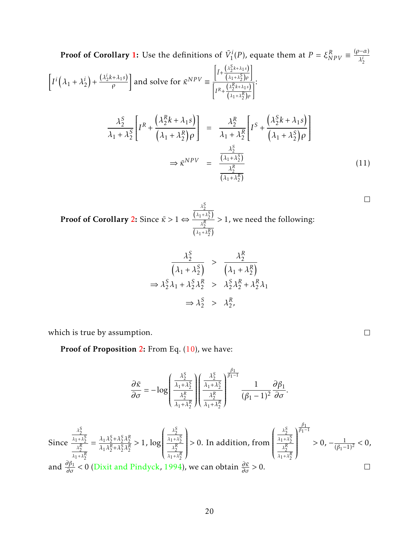Proof of Corollary 1: Use the definitions of 
$$
\bar{V}_1^i(P)
$$
, equate them at  $P = \xi_{NPV}^R = \frac{(\rho - \alpha)}{\lambda_2^i}$   
\n
$$
\left[ I^i \left( \lambda_1 + \lambda_2^i \right) + \frac{(\lambda_2^i k + \lambda_1 s)}{\rho} \right] \text{ and solve for } \bar{\kappa}^{NPV} = \frac{\left[ \bar{I}^+ \frac{(\lambda_2^s k + \lambda_1 s)}{(\lambda_1 + \lambda_2^s) \rho} \right]}{\left[ I^R + \frac{(\lambda_2^s k + \lambda_1 s)}{(\lambda_1 + \lambda_2^s) \rho} \right]} \cdot \frac{\lambda_2^S}{\lambda_1 + \lambda_2^S} \left[ I^R + \frac{(\lambda_2^s k + \lambda_1 s)}{(\lambda_1 + \lambda_2^s) \rho} \right] = \frac{\lambda_2^R}{\lambda_1 + \lambda_2^R} \left[ I^S + \frac{(\lambda_2^S k + \lambda_1 s)}{(\lambda_1 + \lambda_2^s) \rho} \right]
$$
\n
$$
\Rightarrow \bar{\kappa}^{NPV} = \frac{\frac{\lambda_2^S}{(\lambda_1 + \lambda_2^s)}}{\frac{\lambda_2^R}{(\lambda_1 + \lambda_2^s)}} \tag{11}
$$

**Proof of Corollary [2:](#page-8-0)** Since  $\bar{\kappa} > 1$  ⇔  $\frac{\lambda_2^S}{\left(\lambda_1 + \lambda_2^S\right)}$  $\frac{\lambda_2^R}{\left(\lambda_1 + \lambda_2^R\right)}$ *>* 1, we need the following:

<span id="page-19-0"></span>
$$
\frac{\lambda_2^S}{\left(\lambda_1 + \lambda_2^S\right)} > \frac{\lambda_2^R}{\left(\lambda_1 + \lambda_2^R\right)}
$$
  
\n
$$
\Rightarrow \lambda_2^S \lambda_1 + \lambda_2^S \lambda_2^R > \lambda_2^S \lambda_2^R + \lambda_2^R \lambda_1
$$
  
\n
$$
\Rightarrow \lambda_2^S > \lambda_2^R,
$$

which is true by assumption.

Proof of Proposition [2:](#page-8-1) From Eq. [\(10\)](#page-18-5), we have:

$$
\frac{\partial \bar{\kappa}}{\partial \sigma} = -\log \left( \frac{\frac{\lambda_2^{\mathcal{S}}}{\lambda_1 + \lambda_2^{\mathcal{S}}}}{\frac{\lambda_2^{\mathcal{R}}}{\lambda_1 + \lambda_2^{\mathcal{R}}}} \right) \left( \frac{\frac{\lambda_2^{\mathcal{S}}}{\lambda_1 + \lambda_2^{\mathcal{S}}}}{\frac{\lambda_2^{\mathcal{R}}}{\lambda_1 + \lambda_2^{\mathcal{R}}}} \right)^{\frac{\beta_1}{\beta_1 - 1}} \frac{1}{(\beta_1 - 1)^2} \frac{\partial \beta_1}{\partial \sigma}.
$$

Since 
$$
\frac{\frac{\lambda_2^S}{\lambda_1 + \lambda_2^S}}{\frac{\lambda_2^R}{\lambda_1 + \lambda_2^R}} = \frac{\lambda_1 \lambda_2^S + \lambda_2^S \lambda_2^R}{\lambda_1 \lambda_2^R + \lambda_2^S \lambda_2^R} > 1, \log \left( \frac{\frac{\lambda_2^S}{\lambda_1 + \lambda_2^S}}{\frac{\lambda_2^R}{\lambda_1 + \lambda_2^R}} \right) > 0.
$$
 In addition, from 
$$
\left( \frac{\frac{\lambda_2^S}{\lambda_1 + \lambda_2^S}}{\frac{\lambda_2^R}{\lambda_1 + \lambda_2^R}} \right)^{\frac{\beta_1}{\beta_1 - 1}} > 0, -\frac{1}{(\beta_1 - 1)^2} < 0,
$$
and  $\frac{\partial \beta_1}{\partial \sigma} < 0$  (Divit and Pindyck, 1994), we can obtain  $\frac{\partial \bar{\kappa}}{\partial \sigma} > 0$ .

 $\Box$ 

 $\Box$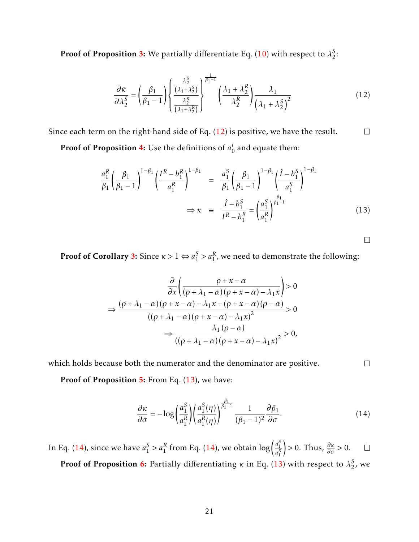Proof of Proposition [3:](#page-8-2) We partially differentiate Eq. [\(10\)](#page-18-5) with respect to  $\lambda_2^S$  $\frac{5}{2}$ :

$$
\frac{\partial \bar{\kappa}}{\partial \lambda_2^S} = \left(\frac{\beta_1}{\beta_1 - 1}\right) \left\{ \frac{\frac{\lambda_2^S}{\left(\lambda_1 + \lambda_2^S\right)}}{\frac{\lambda_2^R}{\left(\lambda_1 + \lambda_2^R\right)}} \right\}^{\frac{1}{\beta_1 - 1}} \left(\frac{\lambda_1 + \lambda_2^R}{\lambda_2^R}\right) \frac{\lambda_1}{\left(\lambda_1 + \lambda_2^S\right)^2} \tag{12}
$$

Since each term on the right-hand side of Eq. [\(12\)](#page-19-0) is positive, we have the result.  $\Box$ 

**Proof of Proposition [4:](#page-9-0)** Use the definitions of  $a_i^i$  $\frac{1}{0}$  and equate them:

<span id="page-20-0"></span>
$$
\frac{a_1^R}{\beta_1} \left(\frac{\beta_1}{\beta_1 - 1}\right)^{1 - \beta_1} \left(\frac{I^R - b_1^R}{a_1^R}\right)^{1 - \beta_1} = \frac{a_1^S}{\beta_1} \left(\frac{\beta_1}{\beta_1 - 1}\right)^{1 - \beta_1} \left(\frac{\hat{I} - b_1^S}{a_1^S}\right)^{1 - \beta_1} \n\Rightarrow \kappa = \frac{\hat{I} - b_1^S}{I^R - b_1^R} = \left(\frac{a_1^S}{a_1^R}\right)^{\frac{\beta_1}{\beta_1 - 1}}
$$
\n(13)

 $\Box$ 

**Proof of Corollary [3:](#page-9-2)** Since  $\kappa > 1 \Leftrightarrow a_1^S$  $\frac{S}{1} > a_1^R$ , we need to demonstrate the following:

<span id="page-20-1"></span>
$$
\frac{\partial}{\partial x} \left( \frac{\rho + x - \alpha}{(\rho + \lambda_1 - \alpha)(\rho + x - \alpha) - \lambda_1 x} \right) > 0
$$
  
\n
$$
\Rightarrow \frac{(\rho + \lambda_1 - \alpha)(\rho + x - \alpha) - \lambda_1 x - (\rho + x - \alpha)(\rho - \alpha)}{((\rho + \lambda_1 - \alpha)(\rho + x - \alpha) - \lambda_1 x)^2} > 0
$$
  
\n
$$
\Rightarrow \frac{\lambda_1 (\rho - \alpha)}{((\rho + \lambda_1 - \alpha)(\rho + x - \alpha) - \lambda_1 x)^2} > 0,
$$

which holds because both the numerator and the denominator are positive.

Proof of Proposition [5:](#page-9-3) From Eq. [\(13\)](#page-20-0), we have:

$$
\frac{\partial \kappa}{\partial \sigma} = -\log \left( \frac{a_1^S}{a_1^R} \right) \left( \frac{a_1^S(\eta)}{a_1^R(\eta)} \right)^{\frac{\beta_1}{\beta_1 - 1}} \frac{1}{(\beta_1 - 1)^2} \frac{\partial \beta_1}{\partial \sigma}.
$$
(14)

 $S_1^S > a_1^R$  from Eq. [\(14\)](#page-20-1), we obtain  $\log \left( \frac{a_1^S}{a_1^R} \right)$  $\Rightarrow$  0. Thus,  $\frac{\partial \kappa}{\partial \sigma} > 0$ . In Eq. [\(14\)](#page-20-1), since we have  $a_1^S$  $\Box$ *a R* 1 Proof of Proposition [6:](#page-9-4) Partially differentiating  $\kappa$  in Eq. [\(13\)](#page-20-0) with respect to  $\lambda_2^S$  $\frac{5}{2}$ , we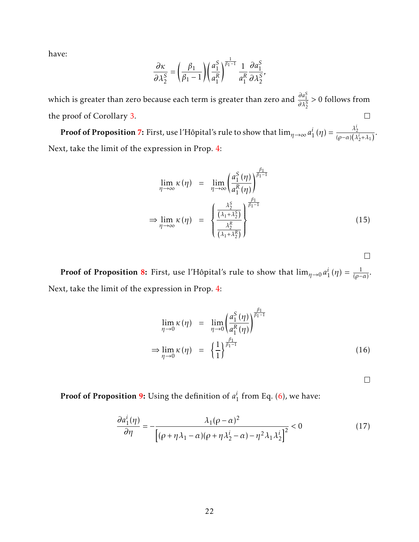have:

$$
\frac{\partial \kappa}{\partial \lambda_2^S} = \left(\frac{\beta_1}{\beta_1 - 1}\right) \left(\frac{a_1^S}{a_1^R}\right)^{\frac{1}{\beta_1 - 1}} \frac{1}{a_1^R} \frac{\partial a_1^S}{\partial \lambda_2^S},
$$

which is greater than zero because each term is greater than zero and  $\frac{\partial a_1^S}{\partial \lambda_2^S} > 0$  follows from the proof of Corollary [3.](#page-9-2)  $\Box$ 

**Proof of Proposition [7:](#page-9-1)** First, use l'Hôpital's rule to show that  $\lim_{\eta\to\infty}a_1^i$  $i_{1}^{i}(\eta) = \frac{\lambda_{2}^{i}}{(\rho - \alpha)(\lambda_{2}^{i} + \lambda_{1})}.$ Next, take the limit of the expression in Prop. [4:](#page-9-0)

$$
\lim_{\eta \to \infty} \kappa(\eta) = \lim_{\eta \to \infty} \left( \frac{a_1^S(\eta)}{a_1^R(\eta)} \right)^{\frac{\beta_1}{\beta_1 - 1}}
$$
\n
$$
\Rightarrow \lim_{\eta \to \infty} \kappa(\eta) = \left( \frac{\frac{\lambda_2^S}{(\lambda_1 + \lambda_2^S)}}{\frac{\lambda_2^R}{(\lambda_1 + \lambda_2^R)}} \right)^{\frac{\beta_1}{\beta_1 - 1}}
$$
\n(15)

 $\Box$ 

Proof of Proposition [8:](#page-10-4) First, use l'Hôpital's rule to show that  $\lim_{\eta\rightarrow 0} a_1^i$  $i_{1}^{i}(\eta) = \frac{1}{(\rho - \alpha)}$ . Next, take the limit of the expression in Prop. [4:](#page-9-0)

$$
\lim_{\eta \to 0} \kappa(\eta) = \lim_{\eta \to 0} \left( \frac{a_1^S(\eta)}{a_1^R(\eta)} \right)^{\frac{\beta_1}{\beta_1 - 1}}
$$
\n
$$
\Rightarrow \lim_{\eta \to 0} \kappa(\eta) = \left( \frac{1}{1} \right)^{\frac{\beta_1}{\beta_1 - 1}} \tag{16}
$$

 $\Box$ 

Proof of Proposition [9:](#page-10-5) Using the definition of *a i*  $\frac{1}{1}$  from Eq. [\(6\)](#page-8-4), we have:

<span id="page-21-0"></span>
$$
\frac{\partial a_1^i(\eta)}{\partial \eta} = -\frac{\lambda_1(\rho - \alpha)^2}{\left[ (\rho + \eta \lambda_1 - \alpha)(\rho + \eta \lambda_2^i - \alpha) - \eta^2 \lambda_1 \lambda_2^i \right]^2} < 0
$$
\n(17)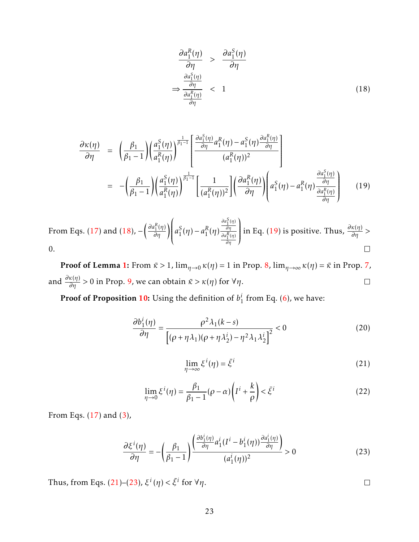<span id="page-22-0"></span>
$$
\frac{\partial a_1^R(\eta)}{\partial \eta} > \frac{\partial a_1^S(\eta)}{\partial \eta}
$$
\n
$$
\Rightarrow \frac{\frac{\partial a_1^S(\eta)}{\partial \eta}}{\frac{\partial a_1^R(\eta)}{\partial \eta}} < 1
$$
\n(18)

<span id="page-22-1"></span>
$$
\frac{\partial \kappa(\eta)}{\partial \eta} = \left( \frac{\beta_1}{\beta_1 - 1} \right) \left( \frac{a_1^S(\eta)}{a_1^R(\eta)} \right)^{\frac{1}{\beta_1 - 1}} \left[ \frac{\frac{\partial a_1^S(\eta)}{\partial \eta} a_1^R(\eta) - a_1^S(\eta) \frac{\partial a_1^R(\eta)}{\partial \eta}}{(a_1^R(\eta))^2} \right]
$$
\n
$$
= -\left( \frac{\beta_1}{\beta_1 - 1} \right) \left( \frac{a_1^S(\eta)}{a_1^R(\eta)} \right)^{\frac{1}{\beta_1 - 1}} \left[ \frac{1}{(a_1^R(\eta))^2} \right] \left( \frac{\partial a_1^R(\eta)}{\partial \eta} \right) \left( a_1^S(\eta) - a_1^R(\eta) \frac{\frac{\partial a_1^S(\eta)}{\partial \eta}}{\frac{\partial a_1^S(\eta)}{\partial \eta}} \right) \tag{19}
$$

ĺ *∂aS* 1 (*η*)  $\overline{\phantom{a}}$ *From Eqs.* [\(17\)](#page-21-0) and [\(18\)](#page-22-0), −  $\left(\frac{\partial a^R_1({\eta})}{\partial{\eta}}\right)$  $\overline{\phantom{a}}$  $\begin{array}{c} \n\end{array}$ in Eq. [\(19\)](#page-22-1) is positive. Thus,  $\frac{\partial \kappa(\eta)}{\partial \eta}$  > *a S*  $S_1(\eta) - a_1^R$ *∂η*  $\frac{R}{1}(\eta)$ *∂aR* 1 (*η*) *∂η* 0.  $\Box$ 

**Proof of Lemma [1:](#page-10-0)** From  $\bar{\kappa} > 1$ ,  $\lim_{\eta \to 0} \kappa(\eta) = 1$  in Prop. [8,](#page-10-4)  $\lim_{\eta \to \infty} \kappa(\eta) = \bar{\kappa}$  in Prop. [7,](#page-9-1) and  $\frac{\partial \kappa(\eta)}{\partial \eta} > 0$  in Prop. [9,](#page-10-5) we can obtain  $\bar{\kappa} > \kappa(\eta)$  for  $\forall \eta$ .  $\Box$ 

Proof of Proposition [10:](#page-10-1) Using the definition of *b i*  $\frac{1}{1}$  from Eq. [\(6\)](#page-8-4), we have:

$$
\frac{\partial b_1^i(\eta)}{\partial \eta} = \frac{\rho^2 \lambda_1(k-s)}{\left[ (\rho + \eta \lambda_1)(\rho + \eta \lambda_2^i) - \eta^2 \lambda_1 \lambda_2^i \right]^2} < 0
$$
\n(20)

<span id="page-22-2"></span>
$$
\lim_{\eta \to \infty} \xi^i(\eta) = \bar{\xi}^i \tag{21}
$$

$$
\lim_{\eta \to 0} \xi^i(\eta) = \frac{\beta_1}{\beta_1 - 1} (\rho - \alpha) \left( I^i + \frac{k}{\rho} \right) < \bar{\xi}^i \tag{22}
$$

From Eqs. [\(17\)](#page-21-0) and [\(3\)](#page-6-1),

<span id="page-22-3"></span>
$$
\frac{\partial \xi^{i}(\eta)}{\partial \eta} = -\left(\frac{\beta_{1}}{\beta_{1}-1}\right) \frac{\left(\frac{\partial b_{1}^{i}(\eta)}{\partial \eta} a_{1}^{i} (I^{i} - b_{1}^{i}(\eta)) \frac{\partial a_{1}^{i}(\eta)}{\partial \eta}\right)}{(a_{1}^{i}(\eta))^{2}} > 0
$$
\n(23)

Thus, from Eqs. [\(21\)](#page-22-2)–[\(23\)](#page-22-3),  $\xi^i(\eta) < \bar{\xi}^i$  for  $\forall \eta$ .

 $\Box$